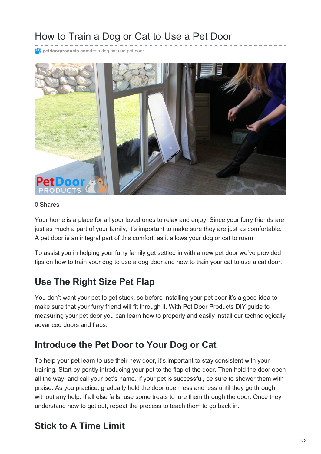# How to Train a Dog or Cat to Use a Pet Door

**petdoorproducts.com**[/train-dog-cat-use-pet-door](https://petdoorproducts.com/train-dog-cat-use-pet-door/)



#### 0 Shares

Your home is a place for all your loved ones to relax and enjoy. Since your furry friends are just as much a part of your family, it's important to make sure they are just as comfortable. A pet door is an integral part of this comfort, as it allows your dog or cat to roam

To assist you in helping your furry family get settled in with a new pet door we've provided tips on how to train your dog to use a dog door and how to train your cat to use a cat door.

## **Use The Right Size Pet Flap**

You don't want your pet to get stuck, so before installing your pet door it's a good idea to make sure that your furry friend will fit through it. With Pet Door Products DIY guide to measuring your pet door you can learn how to properly and easily install our technologically advanced doors and flaps.

## **Introduce the Pet Door to Your Dog or Cat**

To help your pet learn to use their new door, it's important to stay consistent with your training. Start by gently introducing your pet to the flap of the door. Then hold the door open all the way, and call your pet's name. If your pet is successful, be sure to shower them with praise. As you practice, gradually hold the door open less and less until they go through without any help. If all else fails, use some treats to lure them through the door. Once they understand how to get out, repeat the process to teach them to go back in.

## **Stick to A Time Limit**